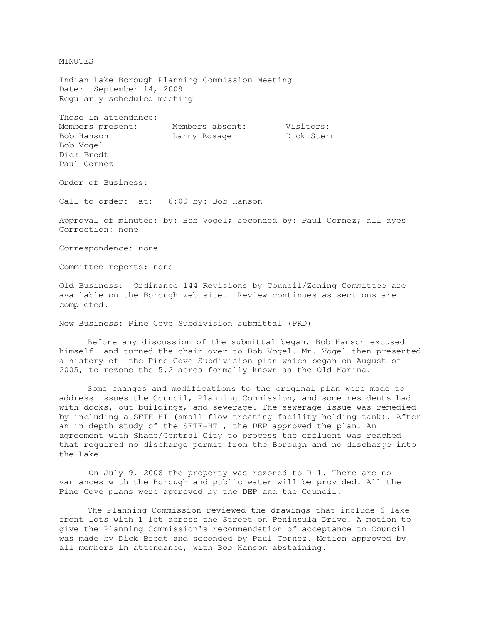MINUTES

Indian Lake Borough Planning Commission Meeting Date: September 14, 2009 Regularly scheduled meeting

Those in attendance: Members present: Members absent: Visitors: Bob Hanson Marry Rosage Dick Stern Bob Vogel Dick Brodt Paul Cornez

Order of Business:

Call to order: at: 6:00 by: Bob Hanson

Approval of minutes: by: Bob Vogel; seconded by: Paul Cornez; all ayes Correction: none

Correspondence: none

Committee reports: none

Old Business: Ordinance 144 Revisions by Council/Zoning Committee are available on the Borough web site. Review continues as sections are completed.

New Business: Pine Cove Subdivision submittal (PRD)

 Before any discussion of the submittal began, Bob Hanson excused himself and turned the chair over to Bob Vogel. Mr. Vogel then presented a history of the Pine Cove Subdivision plan which began on August of 2005, to rezone the 5.2 acres formally known as the Old Marina.

 Some changes and modifications to the original plan were made to address issues the Council, Planning Commission, and some residents had with docks, out buildings, and sewerage. The sewerage issue was remedied by including a SFTF-HT (small flow treating facility-holding tank). After an in depth study of the SFTF-HT , the DEP approved the plan. An agreement with Shade/Central City to process the effluent was reached that required no discharge permit from the Borough and no discharge into the Lake.

 On July 9, 2008 the property was rezoned to R-1. There are no variances with the Borough and public water will be provided. All the Pine Cove plans were approved by the DEP and the Council.

 The Planning Commission reviewed the drawings that include 6 lake front lots with 1 lot across the Street on Peninsula Drive. A motion to give the Planning Commission's recommendation of acceptance to Council was made by Dick Brodt and seconded by Paul Cornez. Motion approved by all members in attendance, with Bob Hanson abstaining.